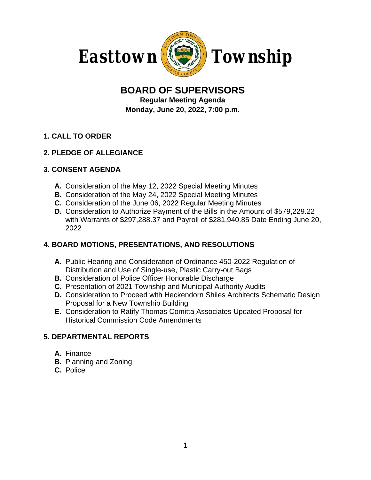

# **BOARD OF SUPERVISORS**

**Regular Meeting Agenda Monday, June 20, 2022, 7:00 p.m.**

# **1. CALL TO ORDER**

## **2. PLEDGE OF ALLEGIANCE**

### **3. CONSENT AGENDA**

- **A.** Consideration of the May 12, 2022 Special Meeting Minutes
- **B.** Consideration of the May 24, 2022 Special Meeting Minutes
- **C.** Consideration of the June 06, 2022 Regular Meeting Minutes
- **D.** Consideration to Authorize Payment of the Bills in the Amount of \$579,229.22 with Warrants of \$297,288.37 and Payroll of \$281,940.85 Date Ending June 20, 2022

## **4. BOARD MOTIONS, PRESENTATIONS, AND RESOLUTIONS**

- **A.** Public Hearing and Consideration of Ordinance 450-2022 Regulation of Distribution and Use of Single-use, Plastic Carry-out Bags
- **B.** Consideration of Police Officer Honorable Discharge
- **C.** Presentation of 2021 Township and Municipal Authority Audits
- **D.** Consideration to Proceed with Heckendorn Shiles Architects Schematic Design Proposal for a New Township Building
- **E.** Consideration to Ratify Thomas Comitta Associates Updated Proposal for Historical Commission Code Amendments

## **5. DEPARTMENTAL REPORTS**

- **A.** Finance
- **B.** Planning and Zoning
- **C.** Police